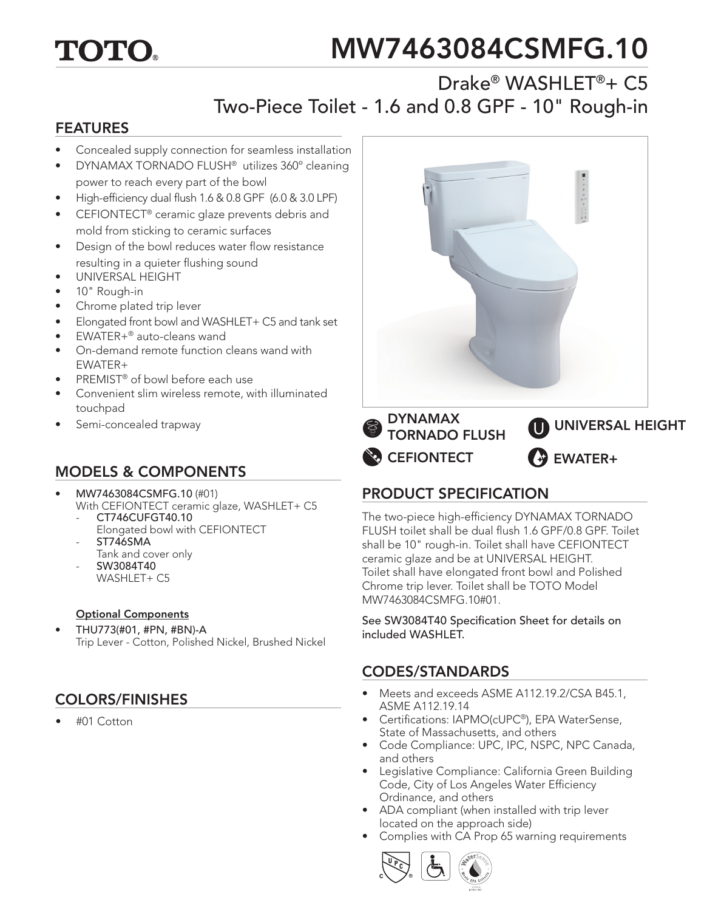# TOTO.

# MW7463084CSMFG.10

# Drake® WASHLET®+ C5 Two-Piece Toilet - 1.6 and 0.8 GPF - 10" Rough-in

#### FEATURES

- Concealed supply connection for seamless installation
- DYNAMAX TORNADO FLUSH® utilizes 360º cleaning power to reach every part of the bowl
- High-efficiency dual flush 1.6 & 0.8 GPF (6.0 & 3.0 LPF)
- CEFIONTECT<sup>®</sup> ceramic glaze prevents debris and mold from sticking to ceramic surfaces
- Design of the bowl reduces water flow resistance resulting in a quieter flushing sound
- UNIVERSAL HEIGHT
- 10" Rough-in
- Chrome plated trip lever
- Elongated front bowl and WASHLET+ C5 and tank set
- EWATER+® auto-cleans wand
- On-demand remote function cleans wand with EWATER+
- PREMIST® of bowl before each use
- Convenient slim wireless remote, with illuminated touchpad
- Semi-concealed trapway

## MODELS & COMPONENTS

- MW7463084CSMFG.10 (#01)
- With CEFIONTECT ceramic glaze, WASHLET+ C5 CT746CUFGT40.10
	- Elongated bowl with CEFIONTECT ST746SMA
	- Tank and cover only
	- SW3084T40 WASHLET+ C5

#### Optional Components

• THU773(#01, #PN, #BN)-A Trip Lever - Cotton, Polished Nickel, Brushed Nickel

## COLORS/FINISHES

• #01 Cotton



## PRODUCT SPECIFICATION

The two-piece high-efficiency DYNAMAX TORNADO FLUSH toilet shall be dual flush 1.6 GPF/0.8 GPF. Toilet shall be 10" rough-in. Toilet shall have CEFIONTECT ceramic glaze and be at UNIVERSAL HEIGHT. Toilet shall have elongated front bowl and Polished Chrome trip lever. Toilet shall be TOTO Model MW7463084CSMFG.10#01.

See SW3084T40 Specification Sheet for details on included WASHLET.

#### CODES/STANDARDS

- Meets and exceeds ASME A112.19.2/CSA B45.1, ASME A112.19.14
- Certifications: IAPMO(cUPC®), EPA WaterSense, State of Massachusetts, and others
- Code Compliance: UPC, IPC, NSPC, NPC Canada, and others
- Legislative Compliance: California Green Building Code, City of Los Angeles Water Efficiency Ordinance, and others
- ADA compliant (when installed with trip lever located on the approach side)
- Complies with CA Prop 65 warning requirements